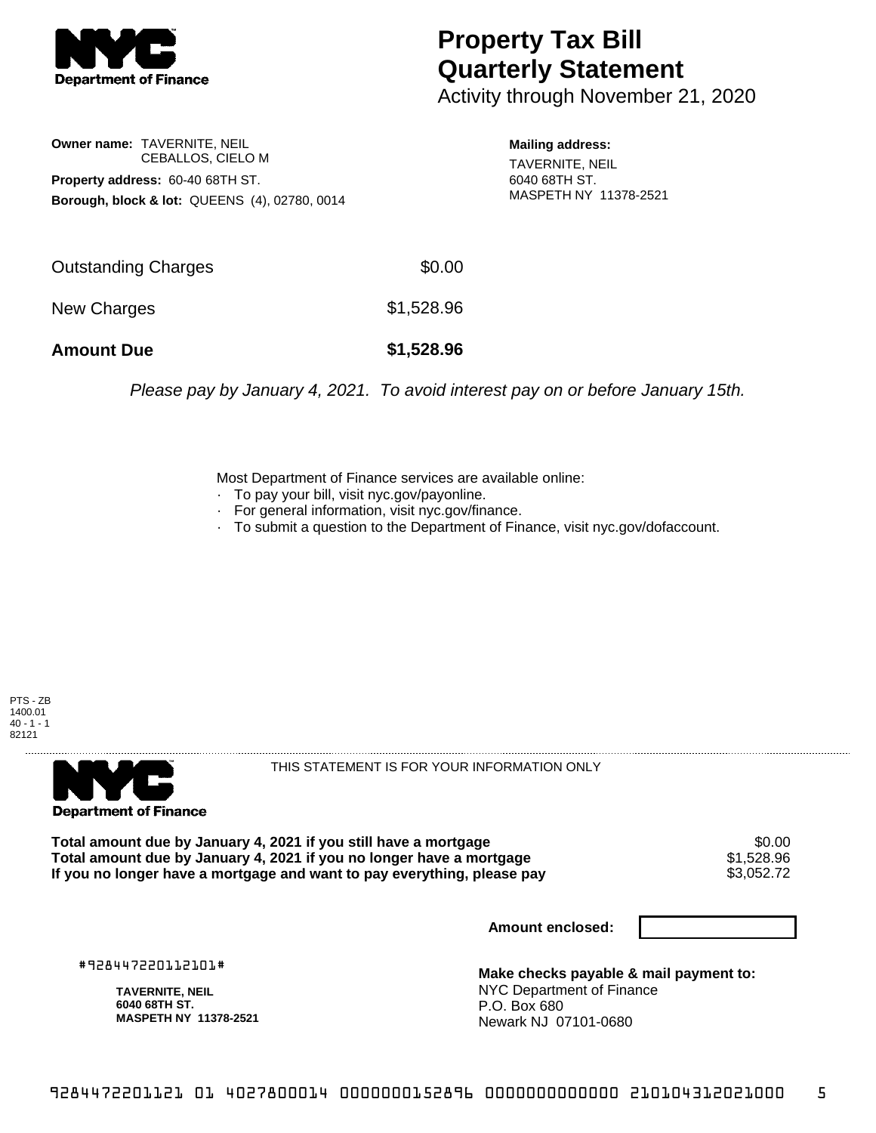

## **Property Tax Bill Quarterly Statement**

Activity through November 21, 2020

**Owner name:** TAVERNITE, NEIL CEBALLOS, CIELO M **Property address:** 60-40 68TH ST. **Borough, block & lot:** QUEENS (4), 02780, 0014 **Mailing address:** TAVERNITE, NEIL 6040 68TH ST. MASPETH NY 11378-2521

| <b>Amount Due</b>   | \$1,528.96 |
|---------------------|------------|
| New Charges         | \$1,528.96 |
| Outstanding Charges | \$0.00     |

Please pay by January 4, 2021. To avoid interest pay on or before January 15th.

Most Department of Finance services are available online:

- · To pay your bill, visit nyc.gov/payonline.
- For general information, visit nyc.gov/finance.
- · To submit a question to the Department of Finance, visit nyc.gov/dofaccount.





THIS STATEMENT IS FOR YOUR INFORMATION ONLY

Total amount due by January 4, 2021 if you still have a mortgage \$0.00<br>Total amount due by January 4, 2021 if you no longer have a mortgage \$1.528.96 **Total amount due by January 4, 2021 if you no longer have a mortgage**  $$1,528.96$ **<br>If you no longer have a mortgage and want to pay everything, please pay <b>show that have a** \$3,052.72 If you no longer have a mortgage and want to pay everything, please pay

**Amount enclosed:**

#928447220112101#

**TAVERNITE, NEIL 6040 68TH ST. MASPETH NY 11378-2521**

**Make checks payable & mail payment to:** NYC Department of Finance P.O. Box 680 Newark NJ 07101-0680